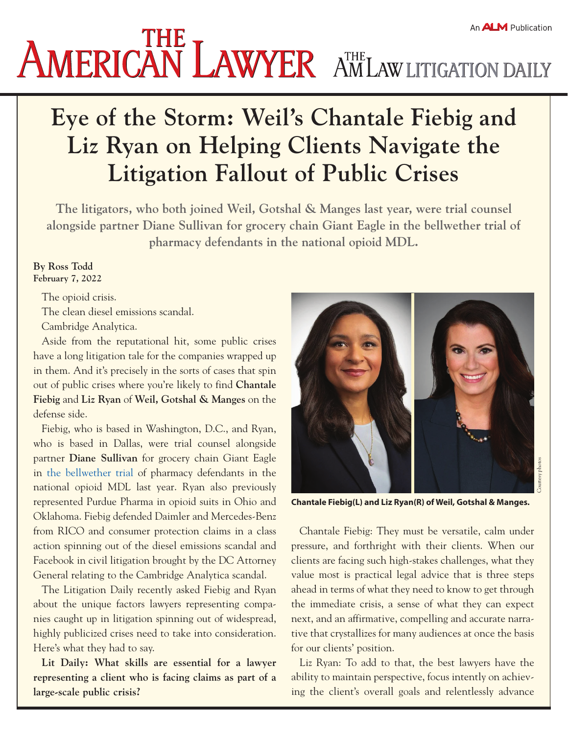# **AMERICAN LAWYER AMLAW LITIGATION DAILY**

# **Eye of the Storm: Weil's Chantale Fiebig and Liz Ryan on Helping Clients Navigate the Litigation Fallout of Public Crises**

**The litigators, who both joined Weil, Gotshal & Manges last year, were trial counsel alongside partner Diane Sullivan for grocery chain Giant Eagle in the bellwether trial of pharmacy defendants in the national opioid MDL.**

#### **By Ross Todd February 7, 2022**

The opioid crisis.

The clean diesel emissions scandal.

Cambridge Analytica.

Aside from the reputational hit, some public crises have a long litigation tale for the companies wrapped up in them. And it's precisely in the sorts of cases that spin out of public crises where you're likely to find **Chantale Fiebig** and **Liz Ryan** of **Weil, Gotshal & Manges** on the defense side.

Fiebig, who is based in Washington, D.C., and Ryan, who is based in Dallas, were trial counsel alongside partner **Diane Sullivan** for grocery chain Giant Eagle in [the bellwether trial](https://www.law.com/2021/09/29/critical-mass-by-law-coms-amanda-bronstad-johnson-johnson-scores-a-triple-in-talc-trials-who-are-the-lawyers-lined-up-for-next-weeks-opioid-bellwether-trial/) of pharmacy defendants in the national opioid MDL last year. Ryan also previously represented Purdue Pharma in opioid suits in Ohio and Oklahoma. Fiebig defended Daimler and Mercedes-Benz from RICO and consumer protection claims in a class action spinning out of the diesel emissions scandal and Facebook in civil litigation brought by the DC Attorney General relating to the Cambridge Analytica scandal.

The Litigation Daily recently asked Fiebig and Ryan about the unique factors lawyers representing companies caught up in litigation spinning out of widespread, highly publicized crises need to take into consideration. Here's what they had to say.

**Lit Daily: What skills are essential for a lawyer representing a client who is facing claims as part of a large-scale public crisis?**



**Chantale Fiebig(L) and Liz Ryan(R) of Weil, Gotshal & Manges.** 

Chantale Fiebig: They must be versatile, calm under pressure, and forthright with their clients. When our clients are facing such high-stakes challenges, what they value most is practical legal advice that is three steps ahead in terms of what they need to know to get through the immediate crisis, a sense of what they can expect next, and an affirmative, compelling and accurate narrative that crystallizes for many audiences at once the basis for our clients' position.

Liz Ryan: To add to that, the best lawyers have the ability to maintain perspective, focus intently on achieving the client's overall goals and relentlessly advance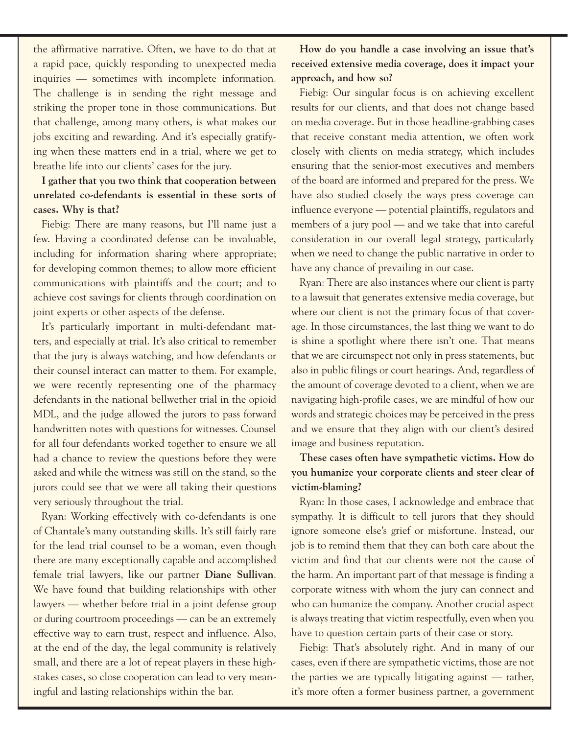the affirmative narrative. Often, we have to do that at a rapid pace, quickly responding to unexpected media inquiries — sometimes with incomplete information. The challenge is in sending the right message and striking the proper tone in those communications. But that challenge, among many others, is what makes our jobs exciting and rewarding. And it's especially gratifying when these matters end in a trial, where we get to breathe life into our clients' cases for the jury.

### **I gather that you two think that cooperation between unrelated co-defendants is essential in these sorts of cases. Why is that?**

Fiebig: There are many reasons, but I'll name just a few. Having a coordinated defense can be invaluable, including for information sharing where appropriate; for developing common themes; to allow more efficient communications with plaintiffs and the court; and to achieve cost savings for clients through coordination on joint experts or other aspects of the defense.

It's particularly important in multi-defendant matters, and especially at trial. It's also critical to remember that the jury is always watching, and how defendants or their counsel interact can matter to them. For example, we were recently representing one of the pharmacy defendants in the national bellwether trial in the opioid MDL, and the judge allowed the jurors to pass forward handwritten notes with questions for witnesses. Counsel for all four defendants worked together to ensure we all had a chance to review the questions before they were asked and while the witness was still on the stand, so the jurors could see that we were all taking their questions very seriously throughout the trial.

Ryan: Working effectively with co-defendants is one of Chantale's many outstanding skills. It's still fairly rare for the lead trial counsel to be a woman, even though there are many exceptionally capable and accomplished female trial lawyers, like our partner **Diane Sullivan**. We have found that building relationships with other lawyers — whether before trial in a joint defense group or during courtroom proceedings — can be an extremely effective way to earn trust, respect and influence. Also, at the end of the day, the legal community is relatively small, and there are a lot of repeat players in these highstakes cases, so close cooperation can lead to very meaningful and lasting relationships within the bar.

**How do you handle a case involving an issue that's received extensive media coverage, does it impact your approach, and how so?**

Fiebig: Our singular focus is on achieving excellent results for our clients, and that does not change based on media coverage. But in those headline-grabbing cases that receive constant media attention, we often work closely with clients on media strategy, which includes ensuring that the senior-most executives and members of the board are informed and prepared for the press. We have also studied closely the ways press coverage can influence everyone — potential plaintiffs, regulators and members of a jury pool — and we take that into careful consideration in our overall legal strategy, particularly when we need to change the public narrative in order to have any chance of prevailing in our case.

Ryan: There are also instances where our client is party to a lawsuit that generates extensive media coverage, but where our client is not the primary focus of that coverage. In those circumstances, the last thing we want to do is shine a spotlight where there isn't one. That means that we are circumspect not only in press statements, but also in public filings or court hearings. And, regardless of the amount of coverage devoted to a client, when we are navigating high-profile cases, we are mindful of how our words and strategic choices may be perceived in the press and we ensure that they align with our client's desired image and business reputation.

## **These cases often have sympathetic victims. How do you humanize your corporate clients and steer clear of victim-blaming?**

Ryan: In those cases, I acknowledge and embrace that sympathy. It is difficult to tell jurors that they should ignore someone else's grief or misfortune. Instead, our job is to remind them that they can both care about the victim and find that our clients were not the cause of the harm. An important part of that message is finding a corporate witness with whom the jury can connect and who can humanize the company. Another crucial aspect is always treating that victim respectfully, even when you have to question certain parts of their case or story.

Fiebig: That's absolutely right. And in many of our cases, even if there are sympathetic victims, those are not the parties we are typically litigating against — rather, it's more often a former business partner, a government